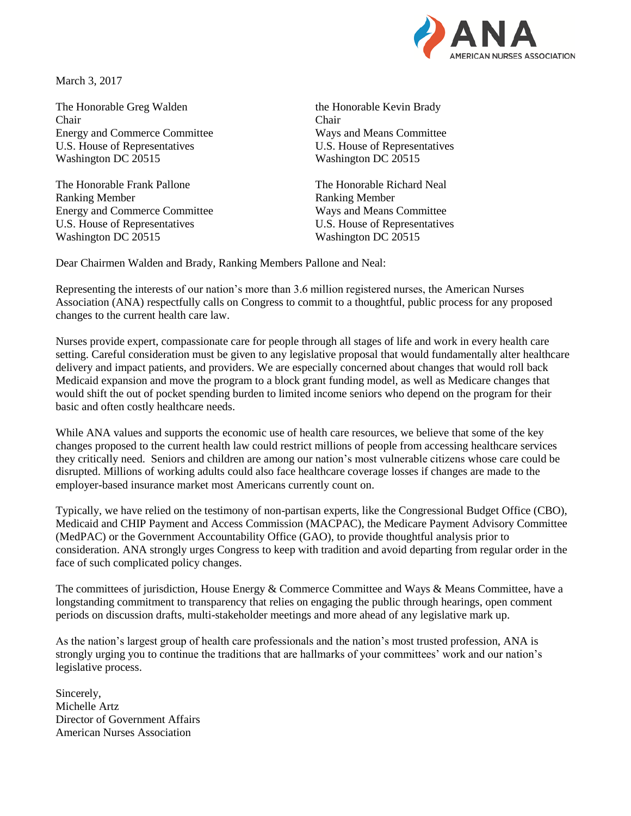

March 3, 2017

The Honorable Greg Walden the Honorable Kevin Brady Chair Chair Energy and Commerce Committee Ways and Means Committee U.S. House of Representatives U.S. House of Representatives Washington DC 20515 Washington DC 20515

The Honorable Frank Pallone The Honorable Richard Neal Ranking Member Ranking Member Energy and Commerce Committee Ways and Means Committee U.S. House of Representatives U.S. House of Representatives Washington DC 20515 Washington DC 20515

Dear Chairmen Walden and Brady, Ranking Members Pallone and Neal:

Representing the interests of our nation's more than 3.6 million registered nurses, the American Nurses Association (ANA) respectfully calls on Congress to commit to a thoughtful, public process for any proposed changes to the current health care law.

Nurses provide expert, compassionate care for people through all stages of life and work in every health care setting. Careful consideration must be given to any legislative proposal that would fundamentally alter healthcare delivery and impact patients, and providers. We are especially concerned about changes that would roll back Medicaid expansion and move the program to a block grant funding model, as well as Medicare changes that would shift the out of pocket spending burden to limited income seniors who depend on the program for their basic and often costly healthcare needs.

While ANA values and supports the economic use of health care resources, we believe that some of the key changes proposed to the current health law could restrict millions of people from accessing healthcare services they critically need. Seniors and children are among our nation's most vulnerable citizens whose care could be disrupted. Millions of working adults could also face healthcare coverage losses if changes are made to the employer-based insurance market most Americans currently count on.

Typically, we have relied on the testimony of non-partisan experts, like the Congressional Budget Office (CBO), Medicaid and CHIP Payment and Access Commission (MACPAC), the Medicare Payment Advisory Committee (MedPAC) or the Government Accountability Office (GAO), to provide thoughtful analysis prior to consideration. ANA strongly urges Congress to keep with tradition and avoid departing from regular order in the face of such complicated policy changes.

The committees of jurisdiction, House Energy & Commerce Committee and Ways & Means Committee, have a longstanding commitment to transparency that relies on engaging the public through hearings, open comment periods on discussion drafts, multi-stakeholder meetings and more ahead of any legislative mark up.

As the nation's largest group of health care professionals and the nation's most trusted profession, ANA is strongly urging you to continue the traditions that are hallmarks of your committees' work and our nation's legislative process.

Sincerely, Michelle Artz Director of Government Affairs American Nurses Association